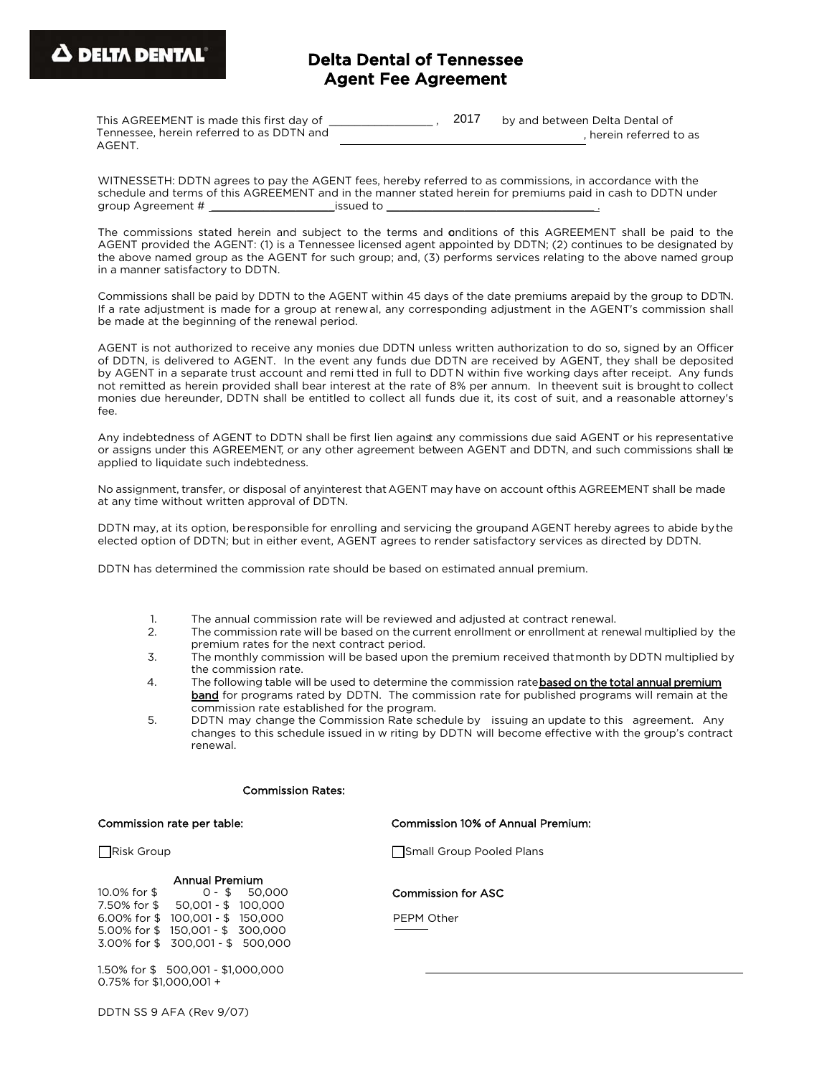# Delta Dental of Tennessee Agent Fee Agreement

| This AGREEMENT is made this first day of  | 2017 | by and between Delta Dental of |
|-------------------------------------------|------|--------------------------------|
| Tennessee, herein referred to as DDTN and |      | herein referred to as          |
| AGENT.                                    |      |                                |

WITNESSETH: DDTN agrees to pay the AGENT fees, hereby referred to as commissions, in accordance with the schedule and terms of this AGREEMENT and in the manner stated herein for premiums paid in cash to DDTN under group Agreement # \_\_\_\_\_\_\_\_\_\_\_\_\_\_\_\_\_\_\_\_\_\_\_\_\_\_\_\_\_issued to \_\_\_\_\_\_\_\_\_\_\_\_\_\_\_\_\_\_\_\_\_\_\_

The commissions stated herein and subject to the terms and onditions of this AGREEMENT shall be paid to the AGENT provided the AGENT: (1) is a Tennessee licensed agent appointed by DDTN; (2) continues to be designated by the above named group as the AGENT for such group; and, (3) performs services relating to the above named group in a manner satisfactory to DDTN.

Commissions shall be paid by DDTN to the AGENT within 45 days of the date premiums arepaid by the group to DDTN. If a rate adjustment is made for a group at renewal, any corresponding adjustment in the AGENT's commission shall be made at the beginning of the renewal period.

AGENT is not authorized to receive any monies due DDTN unless written authorization to do so, signed by an Officer of DDTN, is delivered to AGENT. In the event any funds due DDTN are received by AGENT, they shall be deposited by AGENT in a separate trust account and remi tted in full to DDTN within five working days after receipt. Any funds not remitted as herein provided shall bear interest at the rate of 8% per annum. In theevent suit is brought to collect monies due hereunder, DDTN shall be entitled to collect all funds due it, its cost of suit, and a reasonable attorney's fee.

Any indebtedness of AGENT to DDTN shall be first lien against any commissions due said AGENT or his representative or assigns under this AGREEMENT, or any other agreement between AGENT and DDTN, and such commissions shall be applied to liquidate such indebtedness.

No assignment, transfer, or disposal of anyinterest that AGENT may have on account ofthis AGREEMENT shall be made at any time without written approval of DDTN.

DDTN may, at its option, beresponsible for enrolling and servicing the groupand AGENT hereby agrees to abide bythe elected option of DDTN; but in either event, AGENT agrees to render satisfactory services as directed by DDTN.

DDTN has determined the commission rate should be based on estimated annual premium.

- 1. The annual commission rate will be reviewed and adjusted at contract renewal.
- 2. The commission rate will be based on the current enrollment or enrollment at renewal multiplied by the premium rates for the next contract period.
- 3. The monthly commission will be based upon the premium received thatmonth by DDTN multiplied by the commission rate.
- 4. The following table will be used to determine the commission ratebased on the total annual premium band for programs rated by DDTN. The commission rate for published programs will remain at the commission rate established for the program.
- 5. DDTN may change the Commission Rate schedule by issuing an update to this agreement. Any changes to this schedule issued in w riting by DDTN will become effective with the group's contract renewal.

#### Commission Rates:

#### Commission rate per table: Commission 10% of Annual Premium:

## Annual Premium

10.0% for \$ 0 - \$ 50,000 7.50% for \$ 50,001 - \$ 100,000 6.00% for \$ 100,001 - \$ 150,000 5.00% for \$ 150,001 - \$ 300,000 3.00% for \$ 300,001 - \$ 500,000

1.50% for \$ 500,001 - \$1,000,000 0.75% for \$1,000,001 +

DDTN SS 9 AFA (Rev 9/07)

Risk Group **Small Group Pooled Plans** 

Commission for ASC

PEPM Other